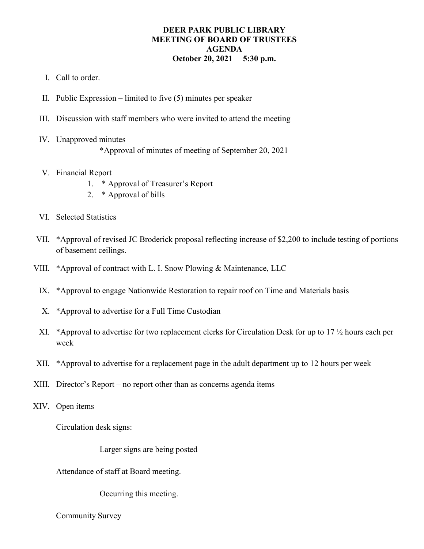## **DEER PARK PUBLIC LIBRARY MEETING OF BOARD OF TRUSTEES AGENDA October 20, 2021 5:30 p.m.**

- I. Call to order.
- II. Public Expression limited to five (5) minutes per speaker
- III. Discussion with staff members who were invited to attend the meeting
- IV. Unapproved minutes
	- \*Approval of minutes of meeting of September 20, 2021
- V. Financial Report
	- 1. \* Approval of Treasurer's Report
	- 2. \* Approval of bills
- VI. Selected Statistics
- VII. \*Approval of revised JC Broderick proposal reflecting increase of \$2,200 to include testing of portions of basement ceilings.
- VIII. \*Approval of contract with L. I. Snow Plowing & Maintenance, LLC
	- IX. \*Approval to engage Nationwide Restoration to repair roof on Time and Materials basis
	- X. \*Approval to advertise for a Full Time Custodian
	- XI. \*Approval to advertise for two replacement clerks for Circulation Desk for up to 17 ½ hours each per week
- XII. \*Approval to advertise for a replacement page in the adult department up to 12 hours per week
- XIII. Director's Report no report other than as concerns agenda items
- XIV. Open items

Circulation desk signs:

Larger signs are being posted

Attendance of staff at Board meeting.

Occurring this meeting.

Community Survey